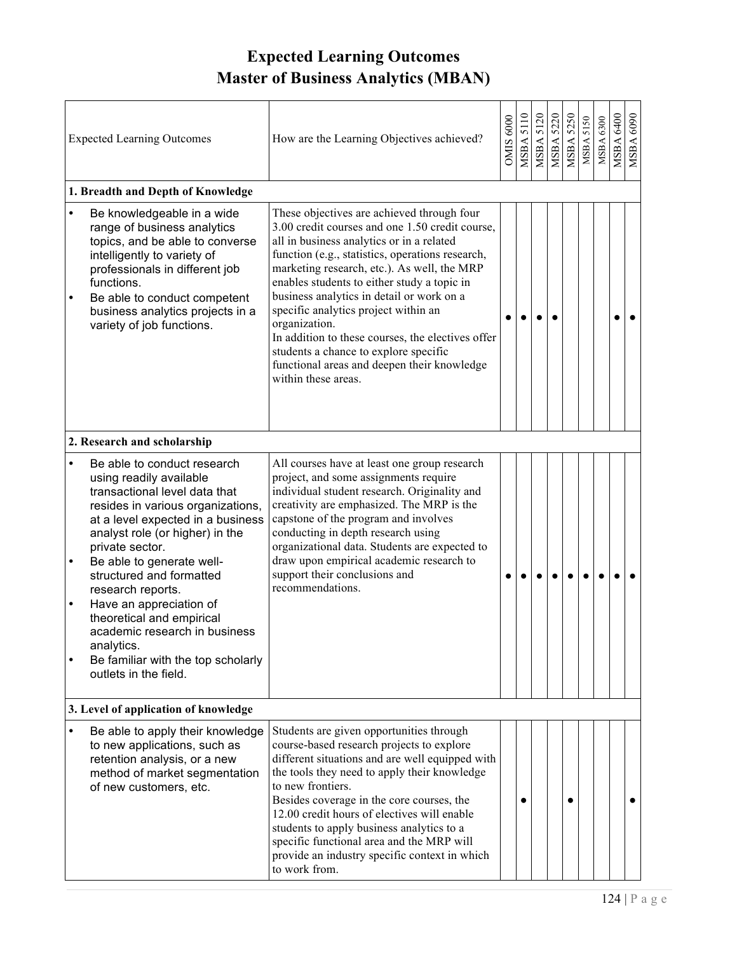## **Expected Learning Outcomes Master of Business Analytics (MBAN)**

| <b>Expected Learning Outcomes</b>    |                                                                                                                                                                                                                                                                                                                                                                                                                                                                             | How are the Learning Objectives achieved?                                                                                                                                                                                                                                                                                                                                                                                                                                                                                                                              | OMIS 6000 | 5110<br>MSBA | 5120<br>MSBA | <b>MSBA 5220</b> | <b>MSBA 5250</b> | <b>MSBA 5150</b> | <b>MSBA 6300</b> | 6400<br>MSBA | 6090<br>MSBA ( |
|--------------------------------------|-----------------------------------------------------------------------------------------------------------------------------------------------------------------------------------------------------------------------------------------------------------------------------------------------------------------------------------------------------------------------------------------------------------------------------------------------------------------------------|------------------------------------------------------------------------------------------------------------------------------------------------------------------------------------------------------------------------------------------------------------------------------------------------------------------------------------------------------------------------------------------------------------------------------------------------------------------------------------------------------------------------------------------------------------------------|-----------|--------------|--------------|------------------|------------------|------------------|------------------|--------------|----------------|
| 1. Breadth and Depth of Knowledge    |                                                                                                                                                                                                                                                                                                                                                                                                                                                                             |                                                                                                                                                                                                                                                                                                                                                                                                                                                                                                                                                                        |           |              |              |                  |                  |                  |                  |              |                |
| $\bullet$<br>$\bullet$               | Be knowledgeable in a wide<br>range of business analytics<br>topics, and be able to converse<br>intelligently to variety of<br>professionals in different job<br>functions.<br>Be able to conduct competent<br>business analytics projects in a<br>variety of job functions.                                                                                                                                                                                                | These objectives are achieved through four<br>3.00 credit courses and one 1.50 credit course,<br>all in business analytics or in a related<br>function (e.g., statistics, operations research,<br>marketing research, etc.). As well, the MRP<br>enables students to either study a topic in<br>business analytics in detail or work on a<br>specific analytics project within an<br>organization.<br>In addition to these courses, the electives offer<br>students a chance to explore specific<br>functional areas and deepen their knowledge<br>within these areas. |           |              |              |                  |                  |                  |                  |              |                |
| 2. Research and scholarship          |                                                                                                                                                                                                                                                                                                                                                                                                                                                                             |                                                                                                                                                                                                                                                                                                                                                                                                                                                                                                                                                                        |           |              |              |                  |                  |                  |                  |              |                |
| $\bullet$<br>$\bullet$<br>$\bullet$  | Be able to conduct research<br>using readily available<br>transactional level data that<br>resides in various organizations,<br>at a level expected in a business<br>analyst role (or higher) in the<br>private sector.<br>Be able to generate well-<br>structured and formatted<br>research reports.<br>Have an appreciation of<br>theoretical and empirical<br>academic research in business<br>analytics.<br>Be familiar with the top scholarly<br>outlets in the field. | All courses have at least one group research<br>project, and some assignments require<br>individual student research. Originality and<br>creativity are emphasized. The MRP is the<br>capstone of the program and involves<br>conducting in depth research using<br>organizational data. Students are expected to<br>draw upon empirical academic research to<br>support their conclusions and<br>recommendations.                                                                                                                                                     |           |              |              |                  |                  |                  |                  |              |                |
| 3. Level of application of knowledge |                                                                                                                                                                                                                                                                                                                                                                                                                                                                             |                                                                                                                                                                                                                                                                                                                                                                                                                                                                                                                                                                        |           |              |              |                  |                  |                  |                  |              |                |
| $\bullet$                            | Be able to apply their knowledge<br>to new applications, such as<br>retention analysis, or a new<br>method of market segmentation<br>of new customers, etc.                                                                                                                                                                                                                                                                                                                 | Students are given opportunities through<br>course-based research projects to explore<br>different situations and are well equipped with<br>the tools they need to apply their knowledge<br>to new frontiers.<br>Besides coverage in the core courses, the<br>12.00 credit hours of electives will enable<br>students to apply business analytics to a<br>specific functional area and the MRP will<br>provide an industry specific context in which<br>to work from.                                                                                                  |           |              |              |                  |                  |                  |                  |              |                |